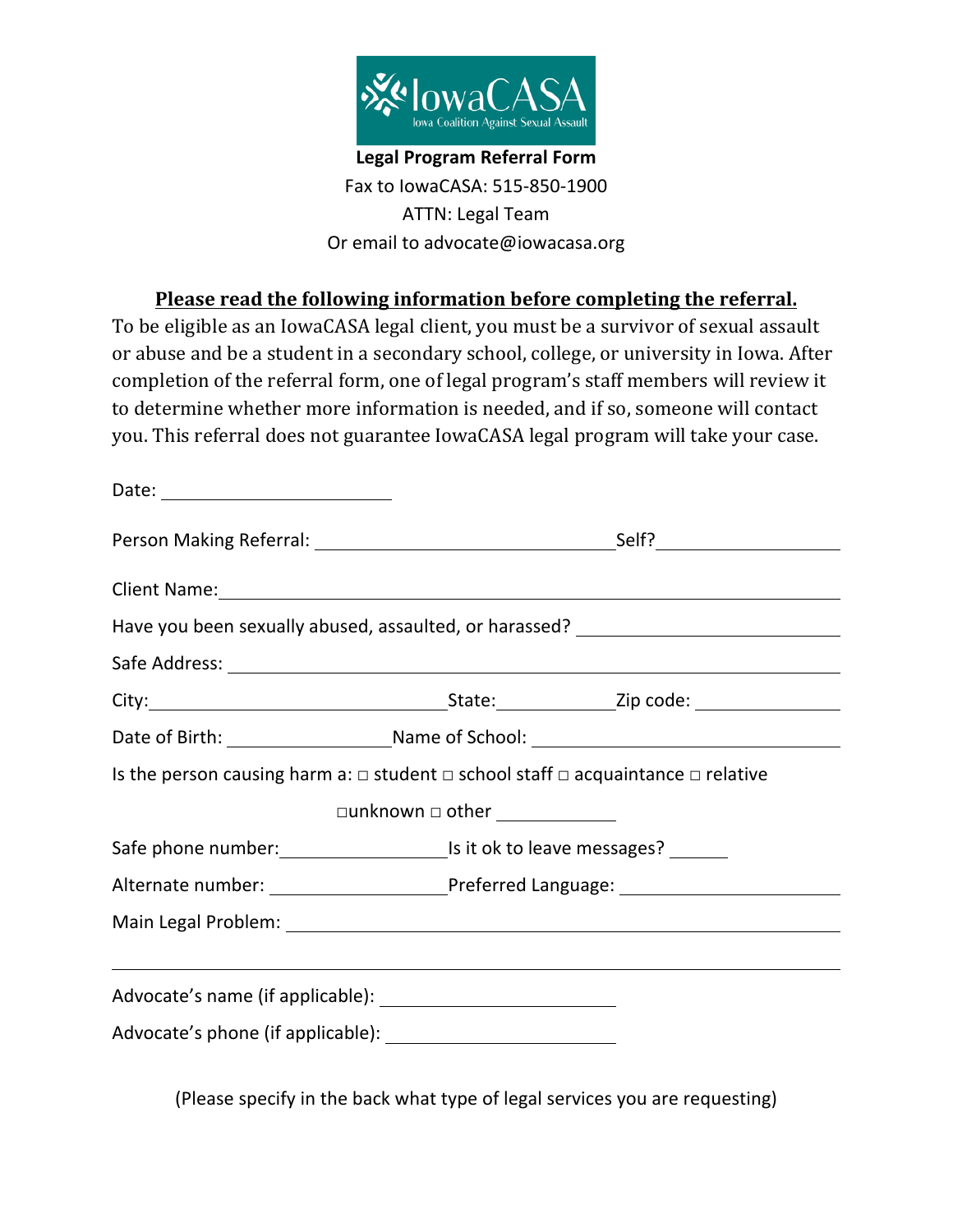

## **Legal Program Referral Form** Fax to IowaCASA: 515-850-1900 ATTN: Legal Team Or email to advocate@iowacasa.org

## **Please read the following information before completing the referral.**

To be eligible as an IowaCASA legal client, you must be a survivor of sexual assault or abuse and be a student in a secondary school, college, or university in Iowa. After completion of the referral form, one of legal program's staff members will review it to determine whether more information is needed, and if so, someone will contact you. This referral does not guarantee IowaCASA legal program will take your case.

| Client Name: 1988 Client Name: 1988 Client Name: 1988 Client Name: 1988 Client Name: 1988 Client Name: 1988 Client Name: 1988 Client Name: 1988 Client Name: 1988 Client Name: 1988 Client Name: 1988 Client Name: 1988 Client |                                                                                                      |                                                                                                                                                                                                                                |  |
|--------------------------------------------------------------------------------------------------------------------------------------------------------------------------------------------------------------------------------|------------------------------------------------------------------------------------------------------|--------------------------------------------------------------------------------------------------------------------------------------------------------------------------------------------------------------------------------|--|
|                                                                                                                                                                                                                                |                                                                                                      | Have you been sexually abused, assaulted, or harassed? _________________________                                                                                                                                               |  |
|                                                                                                                                                                                                                                |                                                                                                      |                                                                                                                                                                                                                                |  |
|                                                                                                                                                                                                                                |                                                                                                      |                                                                                                                                                                                                                                |  |
|                                                                                                                                                                                                                                |                                                                                                      | Date of Birth: Name of School: Name of School: Name of School: Name of School: Name of School: Name of School: Name of School: Name of School: Name of School: Name of School: Name of School: Name of School: Name of School: |  |
| Is the person causing harm a: $\Box$ student $\Box$ school staff $\Box$ acquaintance $\Box$ relative                                                                                                                           |                                                                                                      |                                                                                                                                                                                                                                |  |
|                                                                                                                                                                                                                                |                                                                                                      |                                                                                                                                                                                                                                |  |
|                                                                                                                                                                                                                                |                                                                                                      |                                                                                                                                                                                                                                |  |
|                                                                                                                                                                                                                                | Alternate number: ____________________________Preferred Language: __________________________________ |                                                                                                                                                                                                                                |  |
|                                                                                                                                                                                                                                |                                                                                                      |                                                                                                                                                                                                                                |  |
|                                                                                                                                                                                                                                |                                                                                                      | <u> 1989 - Johann Stoff, deutscher Stoffen und der Stoffen und der Stoffen und der Stoffen und der Stoffen und de</u>                                                                                                          |  |
|                                                                                                                                                                                                                                |                                                                                                      |                                                                                                                                                                                                                                |  |
|                                                                                                                                                                                                                                |                                                                                                      |                                                                                                                                                                                                                                |  |

(Please specify in the back what type of legal services you are requesting)